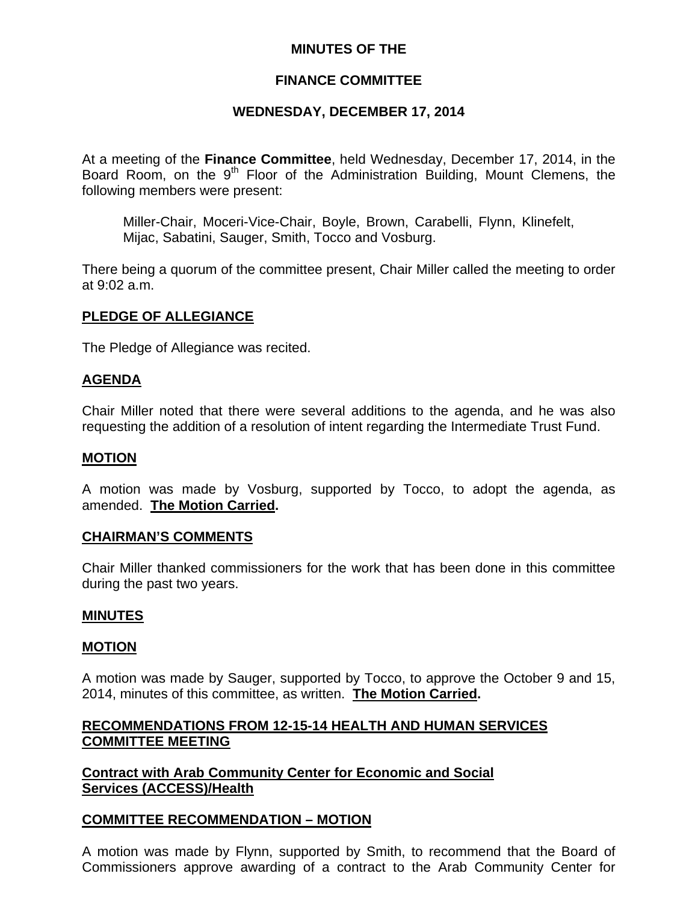# **MINUTES OF THE**

# **FINANCE COMMITTEE**

# **WEDNESDAY, DECEMBER 17, 2014**

At a meeting of the **Finance Committee**, held Wednesday, December 17, 2014, in the Board Room, on the  $9<sup>th</sup>$  Floor of the Administration Building, Mount Clemens, the following members were present:

Miller-Chair, Moceri-Vice-Chair, Boyle, Brown, Carabelli, Flynn, Klinefelt, Mijac, Sabatini, Sauger, Smith, Tocco and Vosburg.

There being a quorum of the committee present, Chair Miller called the meeting to order at 9:02 a.m.

### **PLEDGE OF ALLEGIANCE**

The Pledge of Allegiance was recited.

### **AGENDA**

Chair Miller noted that there were several additions to the agenda, and he was also requesting the addition of a resolution of intent regarding the Intermediate Trust Fund.

#### **MOTION**

A motion was made by Vosburg, supported by Tocco, to adopt the agenda, as amended. **The Motion Carried.** 

#### **CHAIRMAN'S COMMENTS**

Chair Miller thanked commissioners for the work that has been done in this committee during the past two years.

#### **MINUTES**

#### **MOTION**

A motion was made by Sauger, supported by Tocco, to approve the October 9 and 15, 2014, minutes of this committee, as written. **The Motion Carried.** 

### **RECOMMENDATIONS FROM 12-15-14 HEALTH AND HUMAN SERVICES COMMITTEE MEETING**

**Contract with Arab Community Center for Economic and Social Services (ACCESS)/Health**

#### **COMMITTEE RECOMMENDATION – MOTION**

A motion was made by Flynn, supported by Smith, to recommend that the Board of Commissioners approve awarding of a contract to the Arab Community Center for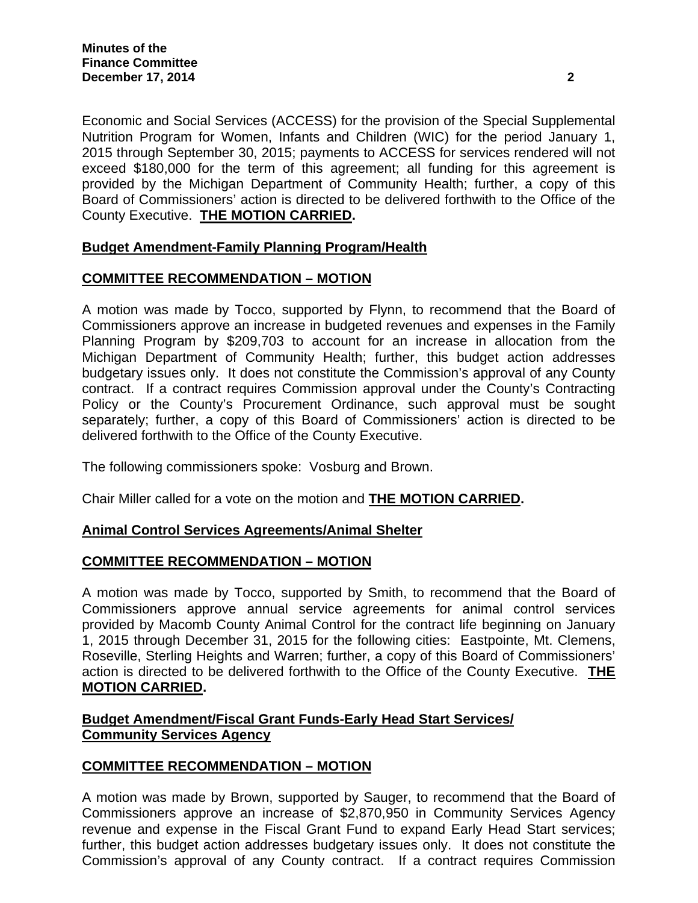Economic and Social Services (ACCESS) for the provision of the Special Supplemental Nutrition Program for Women, Infants and Children (WIC) for the period January 1, 2015 through September 30, 2015; payments to ACCESS for services rendered will not exceed \$180,000 for the term of this agreement; all funding for this agreement is provided by the Michigan Department of Community Health; further, a copy of this Board of Commissioners' action is directed to be delivered forthwith to the Office of the County Executive. **THE MOTION CARRIED.**

# **Budget Amendment-Family Planning Program/Health**

# **COMMITTEE RECOMMENDATION – MOTION**

A motion was made by Tocco, supported by Flynn, to recommend that the Board of Commissioners approve an increase in budgeted revenues and expenses in the Family Planning Program by \$209,703 to account for an increase in allocation from the Michigan Department of Community Health; further, this budget action addresses budgetary issues only. It does not constitute the Commission's approval of any County contract. If a contract requires Commission approval under the County's Contracting Policy or the County's Procurement Ordinance, such approval must be sought separately; further, a copy of this Board of Commissioners' action is directed to be delivered forthwith to the Office of the County Executive.

The following commissioners spoke: Vosburg and Brown.

Chair Miller called for a vote on the motion and **THE MOTION CARRIED.**

# **Animal Control Services Agreements/Animal Shelter**

# **COMMITTEE RECOMMENDATION – MOTION**

A motion was made by Tocco, supported by Smith, to recommend that the Board of Commissioners approve annual service agreements for animal control services provided by Macomb County Animal Control for the contract life beginning on January 1, 2015 through December 31, 2015 for the following cities: Eastpointe, Mt. Clemens, Roseville, Sterling Heights and Warren; further, a copy of this Board of Commissioners' action is directed to be delivered forthwith to the Office of the County Executive. **THE MOTION CARRIED.**

# **Budget Amendment/Fiscal Grant Funds-Early Head Start Services/ Community Services Agency**

# **COMMITTEE RECOMMENDATION – MOTION**

A motion was made by Brown, supported by Sauger, to recommend that the Board of Commissioners approve an increase of \$2,870,950 in Community Services Agency revenue and expense in the Fiscal Grant Fund to expand Early Head Start services; further, this budget action addresses budgetary issues only. It does not constitute the Commission's approval of any County contract. If a contract requires Commission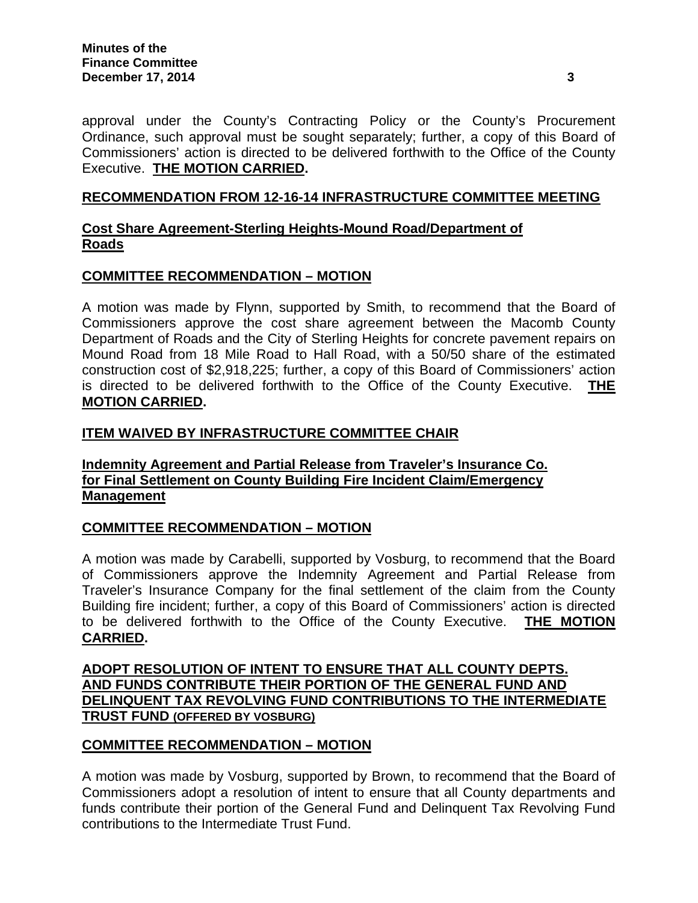approval under the County's Contracting Policy or the County's Procurement Ordinance, such approval must be sought separately; further, a copy of this Board of Commissioners' action is directed to be delivered forthwith to the Office of the County Executive. **THE MOTION CARRIED.** 

### **RECOMMENDATION FROM 12-16-14 INFRASTRUCTURE COMMITTEE MEETING**

# **Cost Share Agreement-Sterling Heights-Mound Road/Department of Roads**

# **COMMITTEE RECOMMENDATION – MOTION**

A motion was made by Flynn, supported by Smith, to recommend that the Board of Commissioners approve the cost share agreement between the Macomb County Department of Roads and the City of Sterling Heights for concrete pavement repairs on Mound Road from 18 Mile Road to Hall Road, with a 50/50 share of the estimated construction cost of \$2,918,225; further, a copy of this Board of Commissioners' action is directed to be delivered forthwith to the Office of the County Executive. **THE MOTION CARRIED.**

# **ITEM WAIVED BY INFRASTRUCTURE COMMITTEE CHAIR**

# **Indemnity Agreement and Partial Release from Traveler's Insurance Co. for Final Settlement on County Building Fire Incident Claim/Emergency Management**

# **COMMITTEE RECOMMENDATION – MOTION**

A motion was made by Carabelli, supported by Vosburg, to recommend that the Board of Commissioners approve the Indemnity Agreement and Partial Release from Traveler's Insurance Company for the final settlement of the claim from the County Building fire incident; further, a copy of this Board of Commissioners' action is directed to be delivered forthwith to the Office of the County Executive. **THE MOTION CARRIED.**

### **ADOPT RESOLUTION OF INTENT TO ENSURE THAT ALL COUNTY DEPTS. AND FUNDS CONTRIBUTE THEIR PORTION OF THE GENERAL FUND AND DELINQUENT TAX REVOLVING FUND CONTRIBUTIONS TO THE INTERMEDIATE TRUST FUND (OFFERED BY VOSBURG)**

# **COMMITTEE RECOMMENDATION – MOTION**

A motion was made by Vosburg, supported by Brown, to recommend that the Board of Commissioners adopt a resolution of intent to ensure that all County departments and funds contribute their portion of the General Fund and Delinquent Tax Revolving Fund contributions to the Intermediate Trust Fund.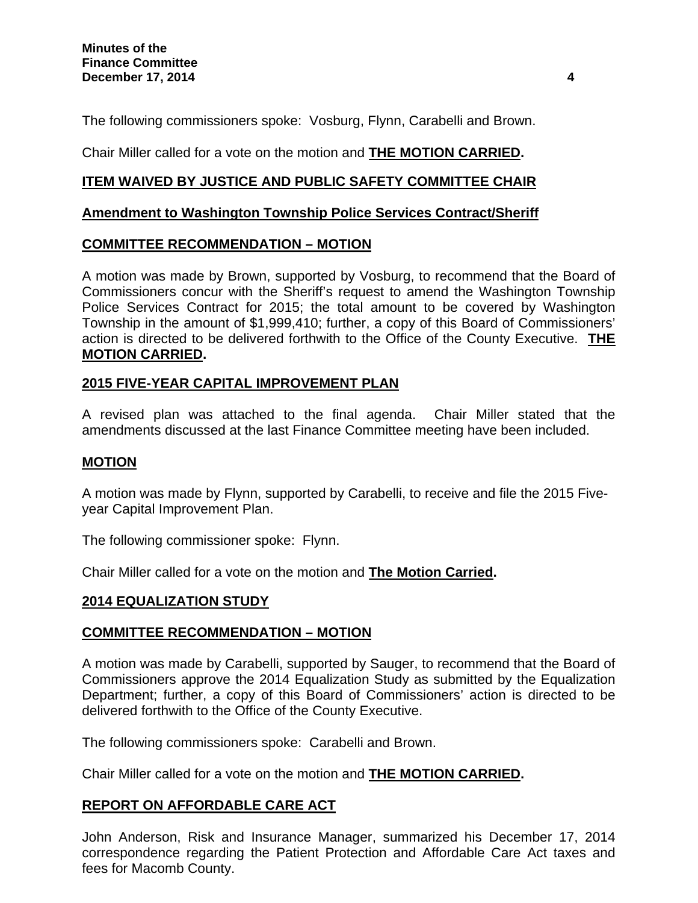The following commissioners spoke: Vosburg, Flynn, Carabelli and Brown.

Chair Miller called for a vote on the motion and **THE MOTION CARRIED.**

# **ITEM WAIVED BY JUSTICE AND PUBLIC SAFETY COMMITTEE CHAIR**

### **Amendment to Washington Township Police Services Contract/Sheriff**

### **COMMITTEE RECOMMENDATION – MOTION**

A motion was made by Brown, supported by Vosburg, to recommend that the Board of Commissioners concur with the Sheriff's request to amend the Washington Township Police Services Contract for 2015; the total amount to be covered by Washington Township in the amount of \$1,999,410; further, a copy of this Board of Commissioners' action is directed to be delivered forthwith to the Office of the County Executive. **THE MOTION CARRIED.**

### **2015 FIVE-YEAR CAPITAL IMPROVEMENT PLAN**

A revised plan was attached to the final agenda. Chair Miller stated that the amendments discussed at the last Finance Committee meeting have been included.

#### **MOTION**

A motion was made by Flynn, supported by Carabelli, to receive and file the 2015 Fiveyear Capital Improvement Plan.

The following commissioner spoke: Flynn.

Chair Miller called for a vote on the motion and **The Motion Carried.**

#### **2014 EQUALIZATION STUDY**

# **COMMITTEE RECOMMENDATION – MOTION**

A motion was made by Carabelli, supported by Sauger, to recommend that the Board of Commissioners approve the 2014 Equalization Study as submitted by the Equalization Department; further, a copy of this Board of Commissioners' action is directed to be delivered forthwith to the Office of the County Executive.

The following commissioners spoke: Carabelli and Brown.

Chair Miller called for a vote on the motion and **THE MOTION CARRIED.**

#### **REPORT ON AFFORDABLE CARE ACT**

John Anderson, Risk and Insurance Manager, summarized his December 17, 2014 correspondence regarding the Patient Protection and Affordable Care Act taxes and fees for Macomb County.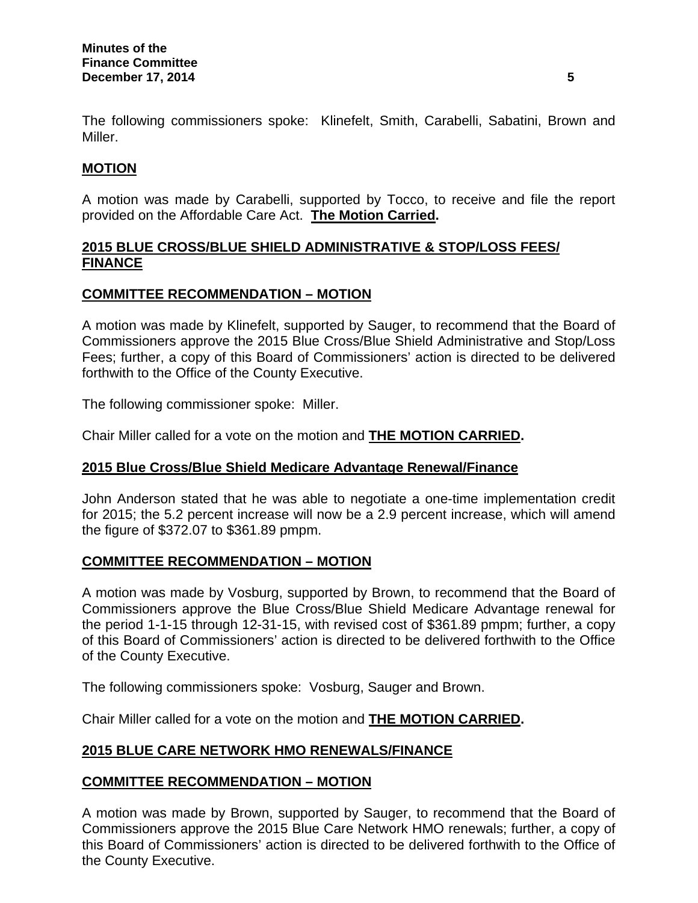The following commissioners spoke: Klinefelt, Smith, Carabelli, Sabatini, Brown and Miller.

# **MOTION**

A motion was made by Carabelli, supported by Tocco, to receive and file the report provided on the Affordable Care Act. **The Motion Carried.** 

# **2015 BLUE CROSS/BLUE SHIELD ADMINISTRATIVE & STOP/LOSS FEES/ FINANCE**

# **COMMITTEE RECOMMENDATION – MOTION**

A motion was made by Klinefelt, supported by Sauger, to recommend that the Board of Commissioners approve the 2015 Blue Cross/Blue Shield Administrative and Stop/Loss Fees; further, a copy of this Board of Commissioners' action is directed to be delivered forthwith to the Office of the County Executive.

The following commissioner spoke: Miller.

Chair Miller called for a vote on the motion and **THE MOTION CARRIED.**

# **2015 Blue Cross/Blue Shield Medicare Advantage Renewal/Finance**

John Anderson stated that he was able to negotiate a one-time implementation credit for 2015; the 5.2 percent increase will now be a 2.9 percent increase, which will amend the figure of \$372.07 to \$361.89 pmpm.

# **COMMITTEE RECOMMENDATION – MOTION**

A motion was made by Vosburg, supported by Brown, to recommend that the Board of Commissioners approve the Blue Cross/Blue Shield Medicare Advantage renewal for the period 1-1-15 through 12-31-15, with revised cost of \$361.89 pmpm; further, a copy of this Board of Commissioners' action is directed to be delivered forthwith to the Office of the County Executive.

The following commissioners spoke: Vosburg, Sauger and Brown.

Chair Miller called for a vote on the motion and **THE MOTION CARRIED.**

# **2015 BLUE CARE NETWORK HMO RENEWALS/FINANCE**

# **COMMITTEE RECOMMENDATION – MOTION**

A motion was made by Brown, supported by Sauger, to recommend that the Board of Commissioners approve the 2015 Blue Care Network HMO renewals; further, a copy of this Board of Commissioners' action is directed to be delivered forthwith to the Office of the County Executive.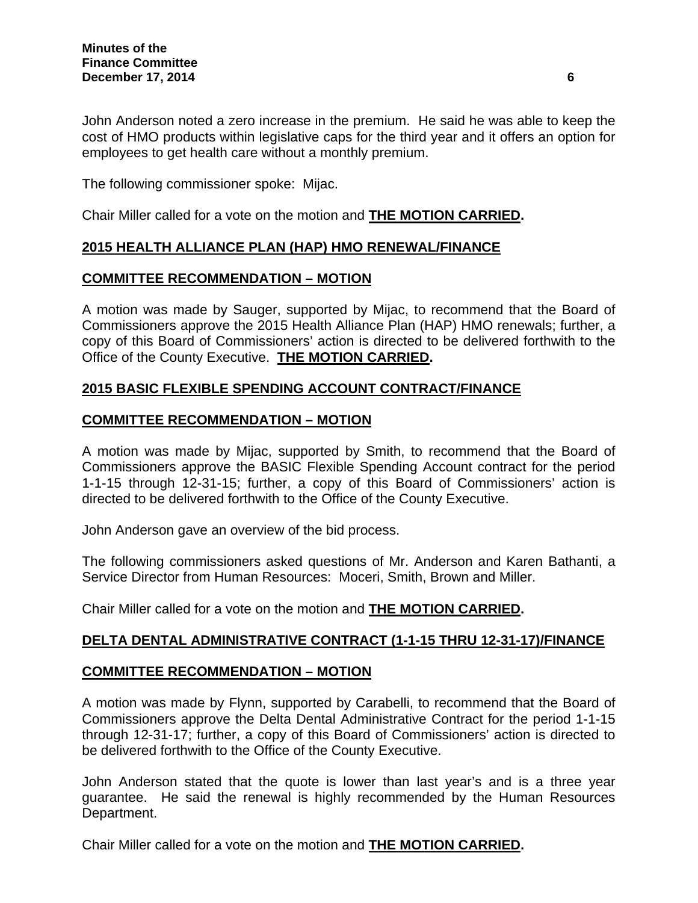John Anderson noted a zero increase in the premium. He said he was able to keep the cost of HMO products within legislative caps for the third year and it offers an option for employees to get health care without a monthly premium.

The following commissioner spoke: Mijac.

Chair Miller called for a vote on the motion and **THE MOTION CARRIED.**

### **2015 HEALTH ALLIANCE PLAN (HAP) HMO RENEWAL/FINANCE**

### **COMMITTEE RECOMMENDATION – MOTION**

A motion was made by Sauger, supported by Mijac, to recommend that the Board of Commissioners approve the 2015 Health Alliance Plan (HAP) HMO renewals; further, a copy of this Board of Commissioners' action is directed to be delivered forthwith to the Office of the County Executive. **THE MOTION CARRIED.**

# **2015 BASIC FLEXIBLE SPENDING ACCOUNT CONTRACT/FINANCE**

### **COMMITTEE RECOMMENDATION – MOTION**

A motion was made by Mijac, supported by Smith, to recommend that the Board of Commissioners approve the BASIC Flexible Spending Account contract for the period 1-1-15 through 12-31-15; further, a copy of this Board of Commissioners' action is directed to be delivered forthwith to the Office of the County Executive.

John Anderson gave an overview of the bid process.

The following commissioners asked questions of Mr. Anderson and Karen Bathanti, a Service Director from Human Resources: Moceri, Smith, Brown and Miller.

Chair Miller called for a vote on the motion and **THE MOTION CARRIED.**

# **DELTA DENTAL ADMINISTRATIVE CONTRACT (1-1-15 THRU 12-31-17)/FINANCE**

#### **COMMITTEE RECOMMENDATION – MOTION**

A motion was made by Flynn, supported by Carabelli, to recommend that the Board of Commissioners approve the Delta Dental Administrative Contract for the period 1-1-15 through 12-31-17; further, a copy of this Board of Commissioners' action is directed to be delivered forthwith to the Office of the County Executive.

John Anderson stated that the quote is lower than last year's and is a three year guarantee. He said the renewal is highly recommended by the Human Resources Department.

Chair Miller called for a vote on the motion and **THE MOTION CARRIED.**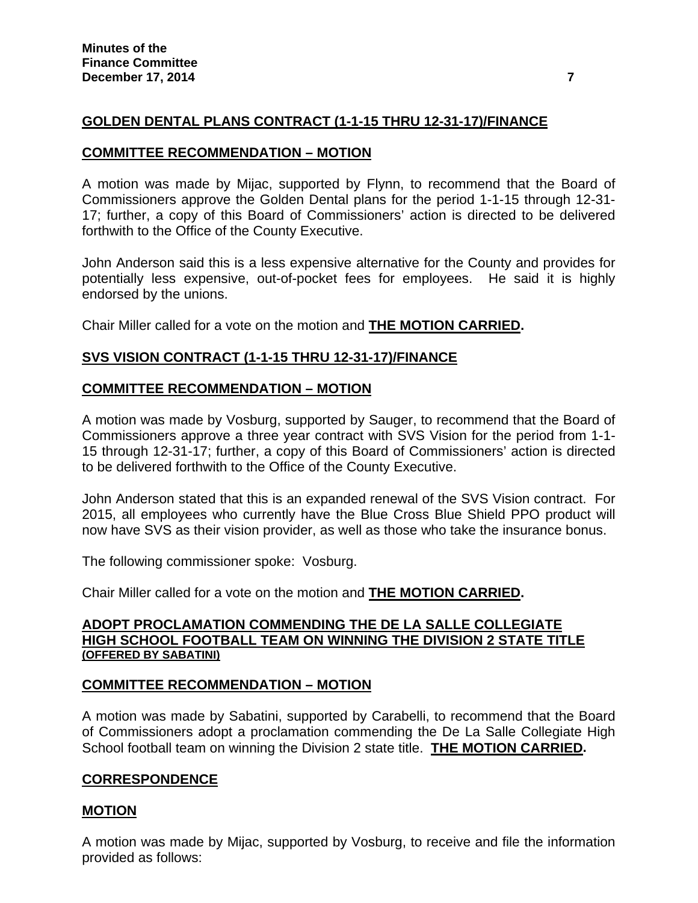# **GOLDEN DENTAL PLANS CONTRACT (1-1-15 THRU 12-31-17)/FINANCE**

#### **COMMITTEE RECOMMENDATION – MOTION**

A motion was made by Mijac, supported by Flynn, to recommend that the Board of Commissioners approve the Golden Dental plans for the period 1-1-15 through 12-31- 17; further, a copy of this Board of Commissioners' action is directed to be delivered forthwith to the Office of the County Executive.

John Anderson said this is a less expensive alternative for the County and provides for potentially less expensive, out-of-pocket fees for employees. He said it is highly endorsed by the unions.

Chair Miller called for a vote on the motion and **THE MOTION CARRIED.**

# **SVS VISION CONTRACT (1-1-15 THRU 12-31-17)/FINANCE**

### **COMMITTEE RECOMMENDATION – MOTION**

A motion was made by Vosburg, supported by Sauger, to recommend that the Board of Commissioners approve a three year contract with SVS Vision for the period from 1-1- 15 through 12-31-17; further, a copy of this Board of Commissioners' action is directed to be delivered forthwith to the Office of the County Executive.

John Anderson stated that this is an expanded renewal of the SVS Vision contract. For 2015, all employees who currently have the Blue Cross Blue Shield PPO product will now have SVS as their vision provider, as well as those who take the insurance bonus.

The following commissioner spoke: Vosburg.

Chair Miller called for a vote on the motion and **THE MOTION CARRIED.**

#### **ADOPT PROCLAMATION COMMENDING THE DE LA SALLE COLLEGIATE HIGH SCHOOL FOOTBALL TEAM ON WINNING THE DIVISION 2 STATE TITLE (OFFERED BY SABATINI)**

# **COMMITTEE RECOMMENDATION – MOTION**

A motion was made by Sabatini, supported by Carabelli, to recommend that the Board of Commissioners adopt a proclamation commending the De La Salle Collegiate High School football team on winning the Division 2 state title. **THE MOTION CARRIED.** 

#### **CORRESPONDENCE**

# **MOTION**

A motion was made by Mijac, supported by Vosburg, to receive and file the information provided as follows: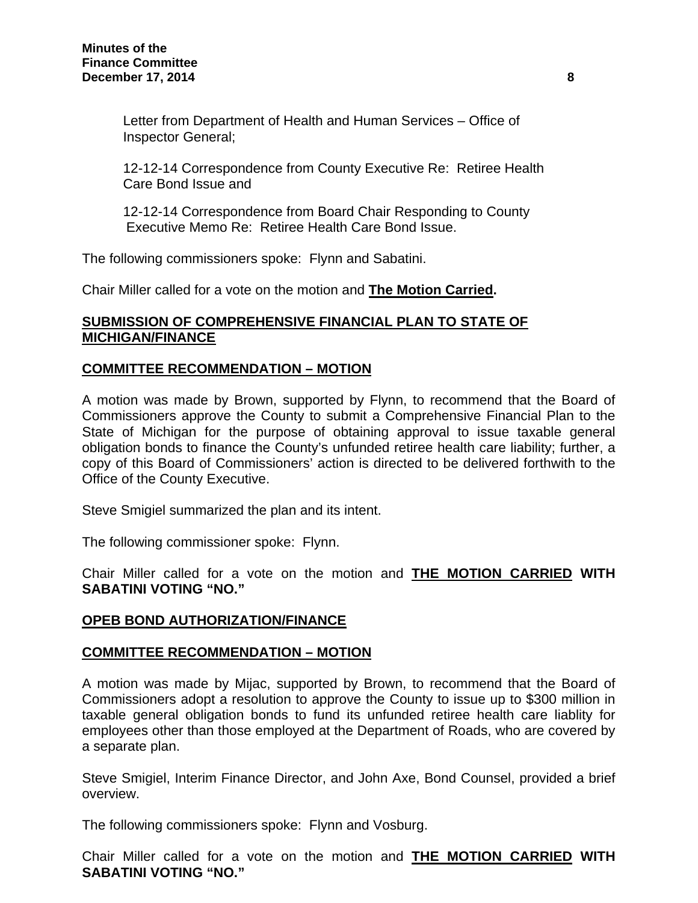Letter from Department of Health and Human Services – Office of Inspector General;

 12-12-14 Correspondence from County Executive Re: Retiree Health Care Bond Issue and

12-12-14 Correspondence from Board Chair Responding to County Executive Memo Re: Retiree Health Care Bond Issue.

The following commissioners spoke: Flynn and Sabatini.

Chair Miller called for a vote on the motion and **The Motion Carried.**

### **SUBMISSION OF COMPREHENSIVE FINANCIAL PLAN TO STATE OF MICHIGAN/FINANCE**

# **COMMITTEE RECOMMENDATION – MOTION**

A motion was made by Brown, supported by Flynn, to recommend that the Board of Commissioners approve the County to submit a Comprehensive Financial Plan to the State of Michigan for the purpose of obtaining approval to issue taxable general obligation bonds to finance the County's unfunded retiree health care liability; further, a copy of this Board of Commissioners' action is directed to be delivered forthwith to the Office of the County Executive.

Steve Smigiel summarized the plan and its intent.

The following commissioner spoke: Flynn.

Chair Miller called for a vote on the motion and **THE MOTION CARRIED WITH SABATINI VOTING "NO."**

# **OPEB BOND AUTHORIZATION/FINANCE**

#### **COMMITTEE RECOMMENDATION – MOTION**

A motion was made by Mijac, supported by Brown, to recommend that the Board of Commissioners adopt a resolution to approve the County to issue up to \$300 million in taxable general obligation bonds to fund its unfunded retiree health care liablity for employees other than those employed at the Department of Roads, who are covered by a separate plan.

Steve Smigiel, Interim Finance Director, and John Axe, Bond Counsel, provided a brief overview.

The following commissioners spoke: Flynn and Vosburg.

Chair Miller called for a vote on the motion and **THE MOTION CARRIED WITH SABATINI VOTING "NO."**